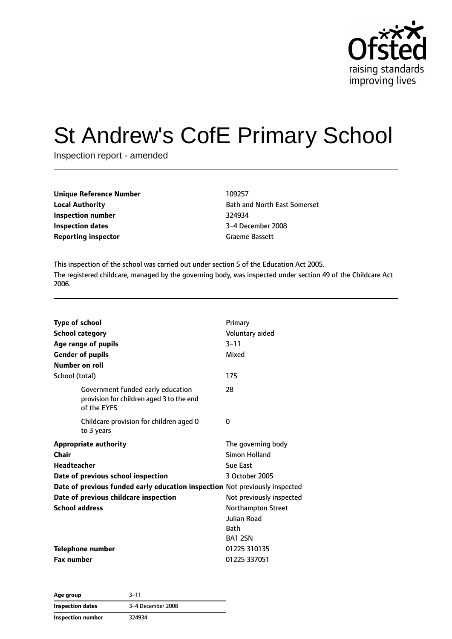

# St Andrew's CofE Primary School

Inspection report - amended

| <b>Unique Reference Number</b> | 109257                |
|--------------------------------|-----------------------|
| <b>Local Authority</b>         | <b>Bath and North</b> |
| Inspection number              | 324934                |
| Inspection dates               | 3-4 December 2        |
| <b>Reporting inspector</b>     | <b>Graeme Bassett</b> |

**Bath and North East Somerset Inspection dates** 3–4 December 2008

This inspection of the school was carried out under section 5 of the Education Act 2005. The registered childcare, managed by the governing body, was inspected under section 49 of the Childcare Act 2006.

| <b>Type of school</b>                                                                        | Primary                                   |
|----------------------------------------------------------------------------------------------|-------------------------------------------|
| <b>School category</b>                                                                       | Voluntary aided                           |
| Age range of pupils                                                                          | $3 - 11$                                  |
| <b>Gender of pupils</b>                                                                      | Mixed                                     |
| Number on roll                                                                               |                                           |
| School (total)                                                                               | 175                                       |
| Government funded early education<br>provision for children aged 3 to the end<br>of the EYFS | 28                                        |
| Childcare provision for children aged 0<br>to 3 years                                        | 0                                         |
| <b>Appropriate authority</b>                                                                 | The governing body                        |
| Chair                                                                                        | <b>Simon Holland</b>                      |
| <b>Headteacher</b>                                                                           | Sue East                                  |
| Date of previous school inspection                                                           | 3 October 2005                            |
| Date of previous funded early education inspection Not previously inspected                  |                                           |
| Date of previous childcare inspection                                                        | Not previously inspected                  |
| <b>School address</b>                                                                        | Northampton Street<br>Julian Road<br>Bath |
|                                                                                              | <b>BA1 2SN</b>                            |
| <b>Telephone number</b>                                                                      | 01225 310135                              |
| <b>Fax number</b>                                                                            | 01225 337051                              |

**Age group** 3–11 **Inspection dates** 3–4 December 2008 **Inspection number** 324934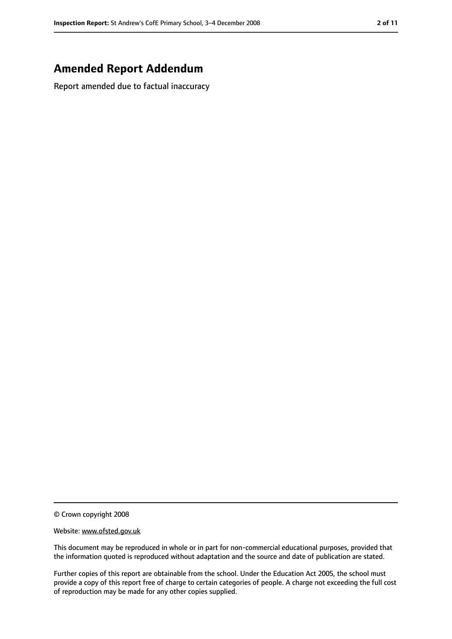## **Amended Report Addendum**

Report amended due to factual inaccuracy

© Crown copyright 2008

Website: www.ofsted.gov.uk

This document may be reproduced in whole or in part for non-commercial educational purposes, provided that the information quoted is reproduced without adaptation and the source and date of publication are stated.

Further copies of this report are obtainable from the school. Under the Education Act 2005, the school must provide a copy of this report free of charge to certain categories of people. A charge not exceeding the full cost of reproduction may be made for any other copies supplied.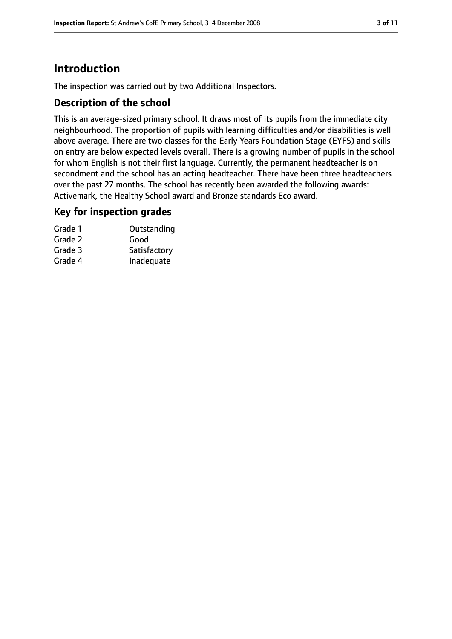## **Introduction**

The inspection was carried out by two Additional Inspectors.

## **Description of the school**

This is an average-sized primary school. It draws most of its pupils from the immediate city neighbourhood. The proportion of pupils with learning difficulties and/or disabilities is well above average. There are two classes for the Early Years Foundation Stage (EYFS) and skills on entry are below expected levels overall. There is a growing number of pupils in the school for whom English is not their first language. Currently, the permanent headteacher is on secondment and the school has an acting headteacher. There have been three headteachers over the past 27 months. The school has recently been awarded the following awards: Activemark, the Healthy School award and Bronze standards Eco award.

#### **Key for inspection grades**

| Grade 1 | Outstanding  |
|---------|--------------|
| Grade 2 | Good         |
| Grade 3 | Satisfactory |
| Grade 4 | Inadequate   |
|         |              |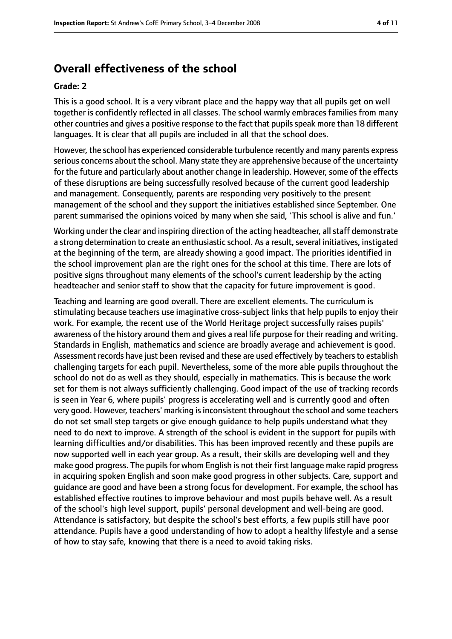## **Overall effectiveness of the school**

#### **Grade: 2**

This is a good school. It is a very vibrant place and the happy way that all pupils get on well together is confidently reflected in all classes. The school warmly embraces families from many other countries and gives a positive response to the fact that pupilsspeak more than 18 different languages. It is clear that all pupils are included in all that the school does.

However, the school has experienced considerable turbulence recently and many parents express serious concerns about the school. Many state they are apprehensive because of the uncertainty for the future and particularly about another change in leadership. However, some of the effects of these disruptions are being successfully resolved because of the current good leadership and management. Consequently, parents are responding very positively to the present management of the school and they support the initiatives established since September. One parent summarised the opinions voiced by many when she said, 'This school is alive and fun.'

Working under the clear and inspiring direction of the acting headteacher, all staff demonstrate a strong determination to create an enthusiastic school. As a result, several initiatives, instigated at the beginning of the term, are already showing a good impact. The priorities identified in the school improvement plan are the right ones for the school at this time. There are lots of positive signs throughout many elements of the school's current leadership by the acting headteacher and senior staff to show that the capacity for future improvement is good.

Teaching and learning are good overall. There are excellent elements. The curriculum is stimulating because teachers use imaginative cross-subject links that help pupils to enjoy their work. For example, the recent use of the World Heritage project successfully raises pupils' awareness of the history around them and gives a real life purpose for their reading and writing. Standards in English, mathematics and science are broadly average and achievement is good. Assessment records have just been revised and these are used effectively by teachers to establish challenging targets for each pupil. Nevertheless, some of the more able pupils throughout the school do not do as well as they should, especially in mathematics. This is because the work set for them is not always sufficiently challenging. Good impact of the use of tracking records is seen in Year 6, where pupils' progress is accelerating well and is currently good and often very good. However, teachers' marking isinconsistent throughout the school and some teachers do not set small step targets or give enough guidance to help pupils understand what they need to do next to improve. A strength of the school is evident in the support for pupils with learning difficulties and/or disabilities. This has been improved recently and these pupils are now supported well in each year group. As a result, their skills are developing well and they make good progress. The pupils for whom English is not their first language make rapid progress in acquiring spoken English and soon make good progress in other subjects. Care, support and guidance are good and have been a strong focus for development. For example, the school has established effective routines to improve behaviour and most pupils behave well. As a result of the school's high level support, pupils' personal development and well-being are good. Attendance is satisfactory, but despite the school's best efforts, a few pupils still have poor attendance. Pupils have a good understanding of how to adopt a healthy lifestyle and a sense of how to stay safe, knowing that there is a need to avoid taking risks.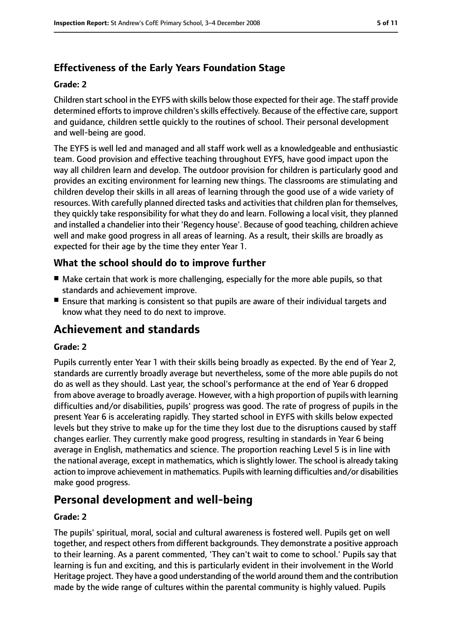## **Effectiveness of the Early Years Foundation Stage**

#### **Grade: 2**

Children start school in the EYFS with skills below those expected for their age. The staff provide determined efforts to improve children's skills effectively. Because of the effective care, support and guidance, children settle quickly to the routines of school. Their personal development and well-being are good.

The EYFS is well led and managed and all staff work well as a knowledgeable and enthusiastic team. Good provision and effective teaching throughout EYFS, have good impact upon the way all children learn and develop. The outdoor provision for children is particularly good and provides an exciting environment for learning new things. The classrooms are stimulating and children develop their skills in all areas of learning through the good use of a wide variety of resources. With carefully planned directed tasks and activities that children plan for themselves, they quickly take responsibility for what they do and learn. Following a local visit, they planned and installed a chandelier into their 'Regency house'. Because of good teaching, children achieve well and make good progress in all areas of learning. As a result, their skills are broadly as expected for their age by the time they enter Year 1.

#### **What the school should do to improve further**

- Make certain that work is more challenging, especially for the more able pupils, so that standards and achievement improve.
- Ensure that marking is consistent so that pupils are aware of their individual targets and know what they need to do next to improve.

## **Achievement and standards**

#### **Grade: 2**

Pupils currently enter Year 1 with their skills being broadly as expected. By the end of Year 2, standards are currently broadly average but nevertheless, some of the more able pupils do not do as well as they should. Last year, the school's performance at the end of Year 6 dropped from above average to broadly average. However, with a high proportion of pupils with learning difficulties and/or disabilities, pupils' progress was good. The rate of progress of pupils in the present Year 6 is accelerating rapidly. They started school in EYFS with skills below expected levels but they strive to make up for the time they lost due to the disruptions caused by staff changes earlier. They currently make good progress, resulting in standards in Year 6 being average in English, mathematics and science. The proportion reaching Level 5 is in line with the national average, except in mathematics, which isslightly lower. The school is already taking action to improve achievement in mathematics. Pupils with learning difficulties and/or disabilities make good progress.

## **Personal development and well-being**

#### **Grade: 2**

The pupils' spiritual, moral, social and cultural awareness is fostered well. Pupils get on well together, and respect others from different backgrounds. They demonstrate a positive approach to their learning. As a parent commented, 'They can't wait to come to school.' Pupils say that learning is fun and exciting, and this is particularly evident in their involvement in the World Heritage project. They have a good understanding of the world around them and the contribution made by the wide range of cultures within the parental community is highly valued. Pupils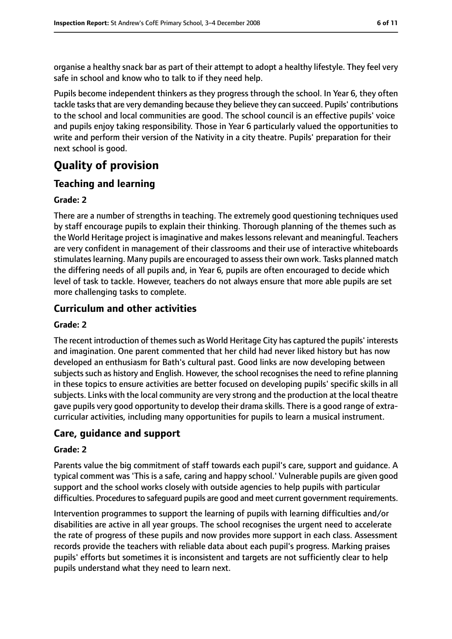organise a healthy snack bar as part of their attempt to adopt a healthy lifestyle. They feel very safe in school and know who to talk to if they need help.

Pupils become independent thinkers as they progress through the school. In Year 6, they often tackle tasks that are very demanding because they believe they can succeed. Pupils' contributions to the school and local communities are good. The school council is an effective pupils' voice and pupils enjoy taking responsibility. Those in Year 6 particularly valued the opportunities to write and perform their version of the Nativity in a city theatre. Pupils' preparation for their next school is good.

# **Quality of provision**

## **Teaching and learning**

#### **Grade: 2**

There are a number of strengths in teaching. The extremely good questioning techniques used by staff encourage pupils to explain their thinking. Thorough planning of the themes such as the World Heritage project is imaginative and makes lessons relevant and meaningful. Teachers are very confident in management of their classrooms and their use of interactive whiteboards stimulates learning. Many pupils are encouraged to assess their own work. Tasks planned match the differing needs of all pupils and, in Year 6, pupils are often encouraged to decide which level of task to tackle. However, teachers do not always ensure that more able pupils are set more challenging tasks to complete.

## **Curriculum and other activities**

#### **Grade: 2**

The recent introduction of themes such as World Heritage City has captured the pupils' interests and imagination. One parent commented that her child had never liked history but has now developed an enthusiasm for Bath's cultural past. Good links are now developing between subjects such as history and English. However, the school recognises the need to refine planning in these topics to ensure activities are better focused on developing pupils' specific skills in all subjects. Links with the local community are very strong and the production at the local theatre gave pupils very good opportunity to develop their drama skills. There is a good range of extracurricular activities, including many opportunities for pupils to learn a musical instrument.

#### **Care, guidance and support**

#### **Grade: 2**

Parents value the big commitment of staff towards each pupil's care, support and guidance. A typical comment was 'This is a safe, caring and happy school.' Vulnerable pupils are given good support and the school works closely with outside agencies to help pupils with particular difficulties. Procedures to safeguard pupils are good and meet current government requirements.

Intervention programmes to support the learning of pupils with learning difficulties and/or disabilities are active in all year groups. The school recognises the urgent need to accelerate the rate of progress of these pupils and now provides more support in each class. Assessment records provide the teachers with reliable data about each pupil's progress. Marking praises pupils' efforts but sometimes it is inconsistent and targets are not sufficiently clear to help pupils understand what they need to learn next.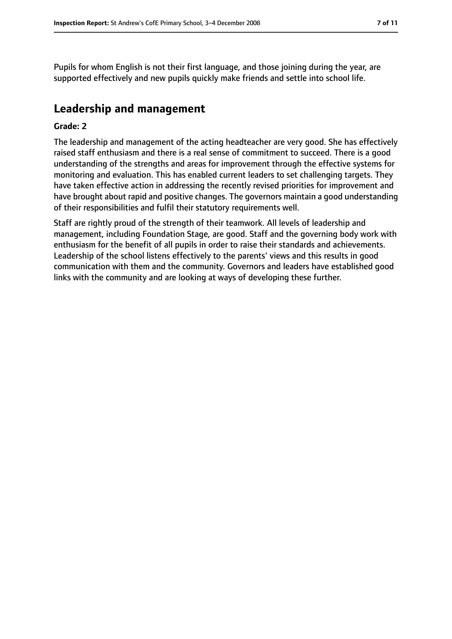Pupils for whom English is not their first language, and those joining during the year, are supported effectively and new pupils quickly make friends and settle into school life.

## **Leadership and management**

#### **Grade: 2**

The leadership and management of the acting headteacher are very good. She has effectively raised staff enthusiasm and there is a real sense of commitment to succeed. There is a good understanding of the strengths and areas for improvement through the effective systems for monitoring and evaluation. This has enabled current leaders to set challenging targets. They have taken effective action in addressing the recently revised priorities for improvement and have brought about rapid and positive changes. The governors maintain a good understanding of their responsibilities and fulfil their statutory requirements well.

Staff are rightly proud of the strength of their teamwork. All levels of leadership and management, including Foundation Stage, are good. Staff and the governing body work with enthusiasm for the benefit of all pupils in order to raise their standards and achievements. Leadership of the school listens effectively to the parents' views and this results in good communication with them and the community. Governors and leaders have established good links with the community and are looking at ways of developing these further.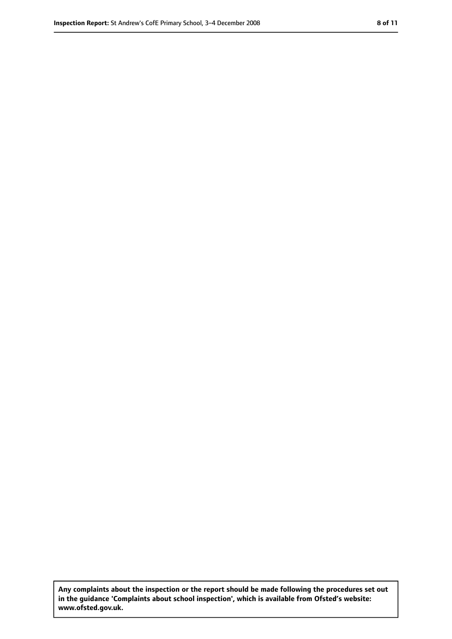**Any complaints about the inspection or the report should be made following the procedures set out in the guidance 'Complaints about school inspection', which is available from Ofsted's website: www.ofsted.gov.uk.**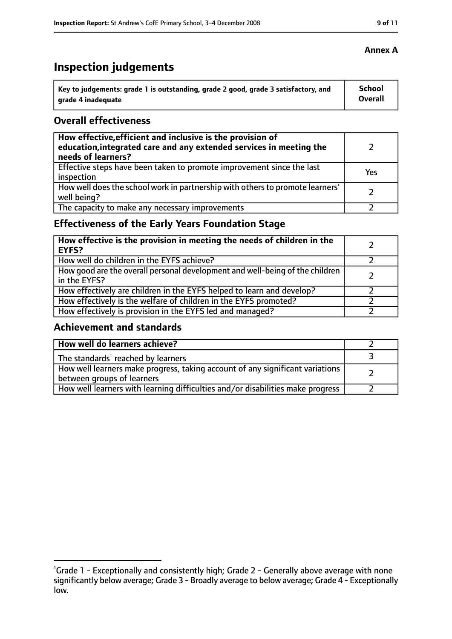# **Inspection judgements**

| Key to judgements: grade 1 is outstanding, grade 2 good, grade 3 satisfactory, and | <b>School</b> |
|------------------------------------------------------------------------------------|---------------|
| arade 4 inadequate                                                                 | Overall       |

## **Overall effectiveness**

| How effective, efficient and inclusive is the provision of<br>education, integrated care and any extended services in meeting the<br>needs of learners? |     |
|---------------------------------------------------------------------------------------------------------------------------------------------------------|-----|
| Effective steps have been taken to promote improvement since the last<br>inspection                                                                     | Yes |
| How well does the school work in partnership with others to promote learners'<br>well being?                                                            |     |
| The capacity to make any necessary improvements                                                                                                         |     |

## **Effectiveness of the Early Years Foundation Stage**

| How effective is the provision in meeting the needs of children in the<br><b>EYFS?</b>       |  |
|----------------------------------------------------------------------------------------------|--|
| How well do children in the EYFS achieve?                                                    |  |
| How good are the overall personal development and well-being of the children<br>in the EYFS? |  |
| How effectively are children in the EYFS helped to learn and develop?                        |  |
| How effectively is the welfare of children in the EYFS promoted?                             |  |
| How effectively is provision in the EYFS led and managed?                                    |  |

## **Achievement and standards**

| How well do learners achieve?                                                                               |  |
|-------------------------------------------------------------------------------------------------------------|--|
| The standards <sup>1</sup> reached by learners                                                              |  |
| How well learners make progress, taking account of any significant variations<br>between groups of learners |  |
| How well learners with learning difficulties and/or disabilities make progress                              |  |

#### **Annex A**

<sup>&</sup>lt;sup>1</sup>Grade 1 - Exceptionally and consistently high; Grade 2 - Generally above average with none significantly below average; Grade 3 - Broadly average to below average; Grade 4 - Exceptionally low.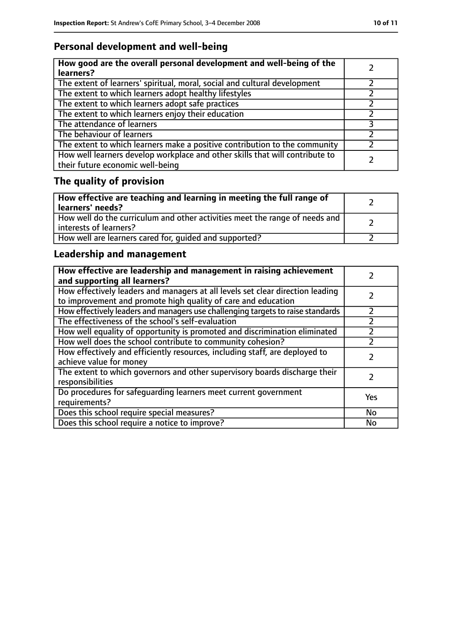## **Personal development and well-being**

| How good are the overall personal development and well-being of the<br>learners?                                 |  |
|------------------------------------------------------------------------------------------------------------------|--|
| The extent of learners' spiritual, moral, social and cultural development                                        |  |
| The extent to which learners adopt healthy lifestyles                                                            |  |
| The extent to which learners adopt safe practices                                                                |  |
| The extent to which learners enjoy their education                                                               |  |
| The attendance of learners                                                                                       |  |
| The behaviour of learners                                                                                        |  |
| The extent to which learners make a positive contribution to the community                                       |  |
| How well learners develop workplace and other skills that will contribute to<br>their future economic well-being |  |

# **The quality of provision**

| How effective are teaching and learning in meeting the full range of<br>learners' needs?              |  |
|-------------------------------------------------------------------------------------------------------|--|
| How well do the curriculum and other activities meet the range of needs and<br>interests of learners? |  |
| How well are learners cared for, quided and supported?                                                |  |

## **Leadership and management**

| How effective are leadership and management in raising achievement<br>and supporting all learners?                                              |     |
|-------------------------------------------------------------------------------------------------------------------------------------------------|-----|
| How effectively leaders and managers at all levels set clear direction leading<br>to improvement and promote high quality of care and education |     |
| How effectively leaders and managers use challenging targets to raise standards                                                                 |     |
| The effectiveness of the school's self-evaluation                                                                                               |     |
| How well equality of opportunity is promoted and discrimination eliminated                                                                      |     |
| How well does the school contribute to community cohesion?                                                                                      |     |
| How effectively and efficiently resources, including staff, are deployed to<br>achieve value for money                                          |     |
| The extent to which governors and other supervisory boards discharge their<br>responsibilities                                                  |     |
| Do procedures for safequarding learners meet current government<br>requirements?                                                                | Yes |
| Does this school require special measures?                                                                                                      | No  |
| Does this school require a notice to improve?                                                                                                   | No  |